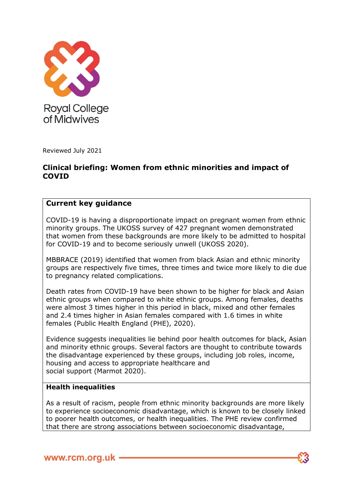

Reviewed July 2021

# **Clinical briefing: Women from ethnic minorities and impact of COVID**

# **Current key guidance**

COVID-19 is having a disproportionate impact on pregnant women from ethnic minority groups. The UKOSS survey of 427 pregnant women demonstrated that women from these backgrounds are more likely to be admitted to hospital for COVID-19 and to become seriously unwell (UKOSS 2020).

MBBRACE (2019) identified that women from black Asian and ethnic minority groups are respectively five times, three times and twice more likely to die due to pregnancy related complications.

Death rates from COVID-19 have been shown to be higher for black and Asian ethnic groups when compared to white ethnic groups. Among females, deaths were almost 3 times higher in this period in black, mixed and other females and 2.4 times higher in Asian females compared with 1.6 times in white females (Public Health England (PHE), 2020).

Evidence suggests inequalities lie behind poor health outcomes for black, Asian and minority ethnic groups. Several factors are thought to contribute towards the disadvantage experienced by these groups, including job roles, income, housing and access to appropriate healthcare and social support (Marmot 2020).

## **Health inequalities**

As a result of racism, people from ethnic minority backgrounds are more likely to experience socioeconomic disadvantage, which is known to be closely linked to poorer health outcomes, or health inequalities. The PHE review confirmed that there are strong associations between socioeconomic disadvantage,

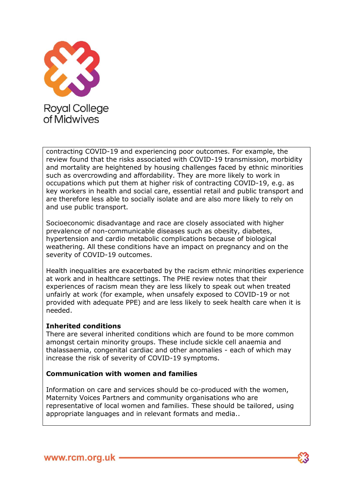

contracting COVID-19 and experiencing poor outcomes. For example, the review found that the risks associated with COVID-19 transmission, morbidity and mortality are heightened by housing challenges faced by ethnic minorities such as overcrowding and affordability. They are more likely to work in occupations which put them at higher risk of contracting COVID-19, e.g. as key workers in health and social care, essential retail and public transport and are therefore less able to socially isolate and are also more likely to rely on and use public transport.

Socioeconomic disadvantage and race are closely associated with higher prevalence of non-communicable diseases such as obesity, diabetes, hypertension and cardio metabolic complications because of biological weathering. All these conditions have an impact on pregnancy and on the severity of COVID-19 outcomes.

Health inequalities are exacerbated by the racism ethnic minorities experience at work and in healthcare settings. The PHE review notes that their experiences of racism mean they are less likely to speak out when treated unfairly at work (for example, when unsafely exposed to COVID-19 or not provided with adequate PPE) and are less likely to seek health care when it is needed.

## **Inherited conditions**

There are several inherited conditions which are found to be more common amongst certain minority groups. These include sickle cell anaemia and thalassaemia, congenital cardiac and other anomalies - each of which may increase the risk of severity of COVID-19 symptoms.

## **Communication with women and families**

Information on care and services should be co-produced with the women, Maternity Voices Partners and community organisations who are representative of local women and families. These should be tailored, using appropriate languages and in relevant formats and media..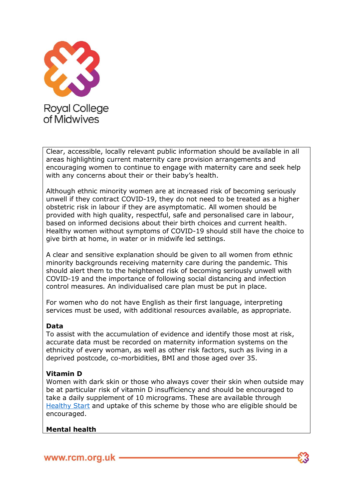

Clear, accessible, locally relevant public information should be available in all areas highlighting current maternity care provision arrangements and encouraging women to continue to engage with maternity care and seek help with any concerns about their or their baby's health.

Although ethnic minority women are at increased risk of becoming seriously unwell if they contract COVID-19, they do not need to be treated as a higher obstetric risk in labour if they are asymptomatic. All women should be provided with high quality, respectful, safe and personalised care in labour, based on informed decisions about their birth choices and current health. Healthy women without symptoms of COVID-19 should still have the choice to give birth at home, in water or in midwife led settings.

A clear and sensitive explanation should be given to all women from ethnic minority backgrounds receiving maternity care during the pandemic. This should alert them to the heightened risk of becoming seriously unwell with COVID-19 and the importance of following social distancing and infection control measures. An individualised care plan must be put in place.

For women who do not have English as their first language, interpreting services must be used, with additional resources available, as appropriate.

## **Data**

To assist with the accumulation of evidence and identify those most at risk, accurate data must be recorded on maternity information systems on the ethnicity of every woman, as well as other risk factors, such as living in a deprived postcode, co-morbidities, BMI and those aged over 35.

## **Vitamin D**

Women with dark skin or those who always cover their skin when outside may be at particular risk of vitamin D insufficiency and should be encouraged to take a daily supplement of 10 micrograms. These are available through [Healthy Start](https://www.healthystart.nhs.uk/healthy-start-vouchers/healthy-start-vitamins/) and uptake of this scheme by those who are eligible should be encouraged.

## **Mental health**

www.rcm.org.uk -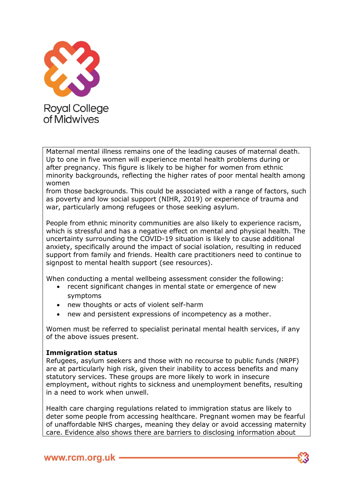

Maternal mental illness remains one of the leading causes of maternal death. Up to one in five women will experience mental health problems during or after pregnancy. This figure is likely to be higher for women from ethnic minority backgrounds, reflecting the higher rates of poor mental health among women

from those backgrounds. This could be associated with a range of factors, such as poverty and low social support (NIHR, 2019) or experience of trauma and war, particularly among refugees or those seeking asylum.

People from ethnic minority communities are also likely to experience racism, which is stressful and has a negative effect on mental and physical health. The uncertainty surrounding the COVID-19 situation is likely to cause additional anxiety, specifically around the impact of social isolation, resulting in reduced support from family and friends. Health care practitioners need to continue to signpost to mental health support (see resources).

When conducting a mental wellbeing assessment consider the following:

- recent significant changes in mental state or emergence of new symptoms
- new thoughts or acts of violent self-harm
- new and persistent expressions of incompetency as a mother.

Women must be referred to specialist perinatal mental health services, if any of the above issues present.

## **Immigration status**

Refugees, asylum seekers and those with no recourse to public funds (NRPF) are at particularly high risk, given their inability to access benefits and many statutory services. These groups are more likely to work in insecure employment, without rights to sickness and unemployment benefits, resulting in a need to work when unwell.

Health care charging regulations related to immigration status are likely to deter some people from accessing healthcare. Pregnant women may be fearful of unaffordable NHS charges, meaning they delay or avoid accessing maternity care. Evidence also shows there are barriers to disclosing information about

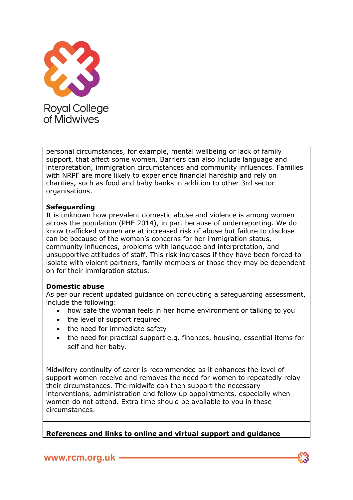

personal circumstances, for example, mental wellbeing or lack of family support, that affect some women. Barriers can also include language and interpretation, immigration circumstances and community influences. Families with NRPF are more likely to experience financial hardship and rely on charities, such as food and baby banks in addition to other 3rd sector organisations.

## **Safeguarding**

It is unknown how prevalent domestic abuse and violence is among women across the population (PHE 2014), in part because of underreporting. We do know trafficked women are at increased risk of abuse but failure to disclose can be because of the woman's concerns for her immigration status, community influences, problems with language and interpretation, and unsupportive attitudes of staff. This risk increases if they have been forced to isolate with violent partners, family members or those they may be dependent on for their immigration status.

## **Domestic abuse**

As per our recent updated guidance on conducting a safeguarding assessment, include the following:

- how safe the woman feels in her home environment or talking to you
- the level of support required
- the need for immediate safety
- the need for practical support e.g. finances, housing, essential items for self and her baby.

Midwifery continuity of carer is recommended as it enhances the level of support women receive and removes the need for women to repeatedly relay their circumstances. The midwife can then support the necessary interventions, administration and follow up appointments, especially when women do not attend. Extra time should be available to you in these circumstances.

**References and links to online and virtual support and guidance**

www.rcm.org.uk -

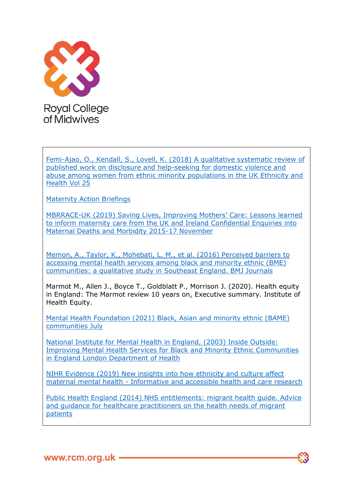

[Femi-Ajao, O., Kendall, S., Lovell, K. \(2018\) A qualitative systematic review of](https://www.tandfonline.com/doi/abs/10.1080/13557858.2018.1447652)  [published work on disclosure and help-seeking for domestic violence and](https://www.tandfonline.com/doi/abs/10.1080/13557858.2018.1447652)  [abuse among women from ethnic minority populations in the UK Ethnicity and](https://www.tandfonline.com/doi/abs/10.1080/13557858.2018.1447652)  [Health Vol 25](https://www.tandfonline.com/doi/abs/10.1080/13557858.2018.1447652)

[Maternity Action Briefings](https://maternityaction.org.uk/2020/06/migrant-women-no-recourse-to-publicfunds-and-the-%20pandemic)

MBRRACE-[UK \(2019\) Saving Lives, Improving Mothers' Care: Lessons learned](https://www.npeu.ox.ac.uk/assets/downloads/mbrrace-uk/reports/MBRRACE-UK%20Maternal%20Report%202019%20-%20WEB%20VERSION.pdf)  to inform maternity care from the UK and Ireland Confidential Enquiries into [Maternal Deaths and Morbidity 2015-17 November](https://www.npeu.ox.ac.uk/assets/downloads/mbrrace-uk/reports/MBRRACE-UK%20Maternal%20Report%202019%20-%20WEB%20VERSION.pdf)

[Memon, A., Taylor, K., Mohebati, L. M., et al. \(2016\) Perceived barriers to](https://bmjopen.bmj.com/content/6/11/e012337)  [accessing mental health services among black and minority ethnic \(BME\)](https://bmjopen.bmj.com/content/6/11/e012337)  [communities: a qualitative study in Southeast England. BMJ Journals](https://bmjopen.bmj.com/content/6/11/e012337)

Marmot M., Allen J., Boyce T., Goldblatt P., Morrison J. (2020). Health equity in England: The Marmot review 10 years on, Executive summary. Institute of Health Equity.

[Mental Health Foundation \(2021\) Black, Asian and minority ethnic \(BAME\)](https://www.mentalhealth.org.uk/a-to-z/b/black-asian-and-minority-ethnic-bamecommunities)  [communities July](https://www.mentalhealth.org.uk/a-to-z/b/black-asian-and-minority-ethnic-bamecommunities)

[National Institute for Mental Health in England, \(2003\) Inside Outside:](https://lemosandcrane.co.uk/resources/NHS%20-%20Inside%20outside.pdf)  [Improving Mental Health Services for Black and Minority Ethnic Communities](https://lemosandcrane.co.uk/resources/NHS%20-%20Inside%20outside.pdf)  [in England London Department of Health](https://lemosandcrane.co.uk/resources/NHS%20-%20Inside%20outside.pdf)

[NIHR Evidence \(2019\) New insights into how ethnicity and culture affect](https://evidence.nihr.ac.uk/alert/new-insights-into-how-%20ethnicityand-culture-affect-maternal-mental-health/)  maternal mental health - [Informative and accessible health and care research](https://evidence.nihr.ac.uk/alert/new-insights-into-how-%20ethnicityand-culture-affect-maternal-mental-health/)

[Public Health England \(2014\) NHS entitlements: migrant health guide. Advice](https://rcm365-my.sharepoint.com/personal/lydia_o)  [and guidance for healthcare practitioners on the health needs of migrant](https://rcm365-my.sharepoint.com/personal/lydia_o)  [patients](https://rcm365-my.sharepoint.com/personal/lydia_o)